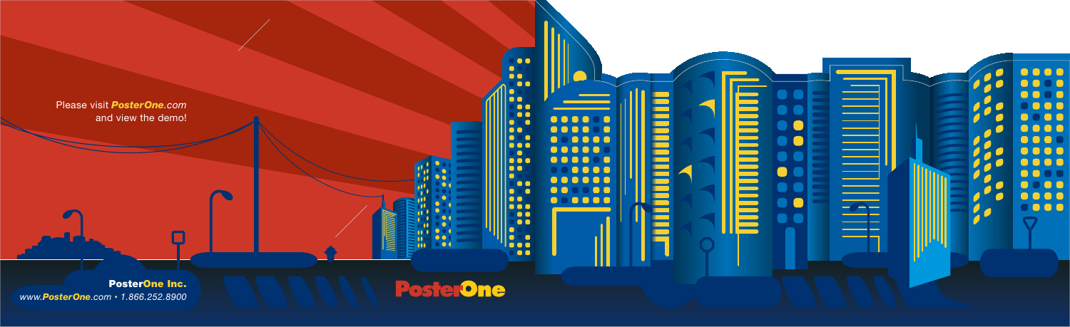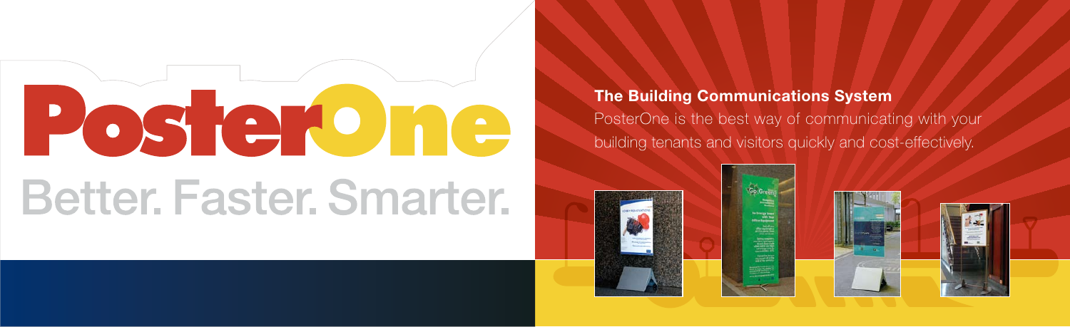# POS erone Better, Faster, Smarter,

# **The Building Communications System** PosterOne is the best way of communicating with your building tenants and visitors quickly and cost-effectively.







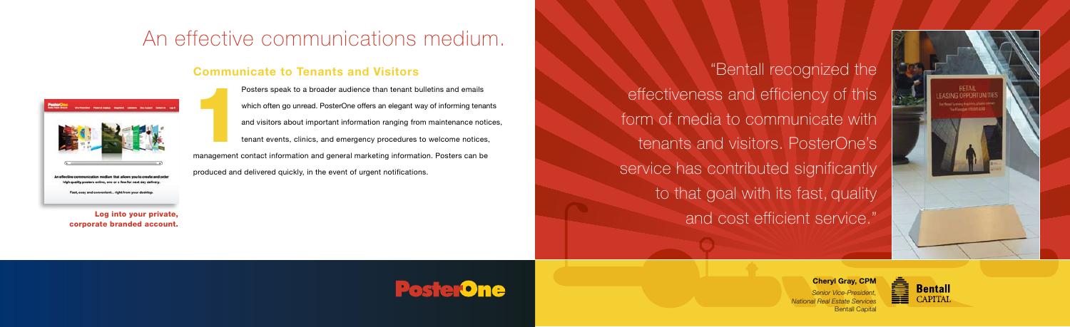"Bentall recognized the effectiveness and efficiency of this form of media to communicate with tenants and visitors. PosterOne's service has contributed significantly to that goal with its fast, quality and cost efficient service."





### **Cheryl Gray, CPM**

*Senior Vice-President, National Real Estate Services* Bentall Capital



### **Communicate to Tenants and Visitors**



1 Posters speak to a broader audience than tenant bulletins and emails which often go unread. PosterOne offers an elegant way of informing tenants and visitors about important information ranging from maintenance notices, tenant events, clinics, and emergency procedures to welcome notices, management contact information and general marketing information. Posters can be produced and delivered quickly, in the event of urgent notifications.

## An effective communications medium.

Log into your private, corporate branded account.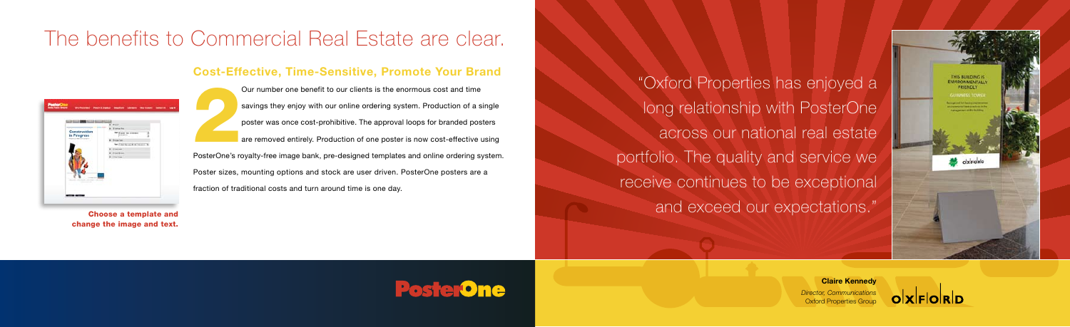"Oxford Properties has enjoyed a long relationship with PosterOne across our national real estate receive continues to be exceptional and exceed our expectations."



# portfolio. The quality and service we



### **Claire Kennedy**

*Director, Communications* Oxford Properties Group



### **Cost-Effective, Time-Sensitive, Promote Your Brand**

W San to come **Magnitud** POSTAGE .......

**22**<br>PosterOne's r Our number one benefit to our clients is the enormous cost and time savings they enjoy with our online ordering system. Production of a single poster was once cost-prohibitive. The approval loops for branded posters are removed entirely. Production of one poster is now cost-effective using PosterOne's royalty-free image bank, pre-designed templates and online ordering system. Poster sizes, mounting options and stock are user driven. PosterOne posters are a fraction of traditional costs and turn around time is one day.

# The benefits to Commercial Real Estate are clear.

Choose a template and change the image and text.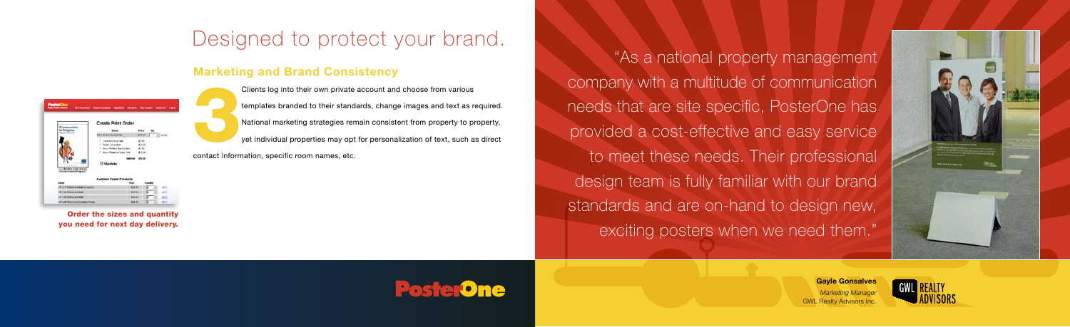"As a national property management company with a multitude of communication needs that are site specific, PosterOne has provided a cost-effective and easy service to meet these needs. Their professional design team is fully familiar with our brand standards and are on-hand to design new, exciting posters when we need them."





### **Gayle Gonsalves**

*Marketing Manager* GWL Realty Advisors Inc.



**3** Clients log into their own private account and choose from various templates branded to their standards, change images and text as required. National marketing strategies remain consistent from property to property, yet individual properties may opt for personalization of text, such as direct contact information, specific room names, etc.

### **Marketing and Brand Consistency**



# Designed to protect your brand.

Order the sizes and quantity you need for next day delivery.